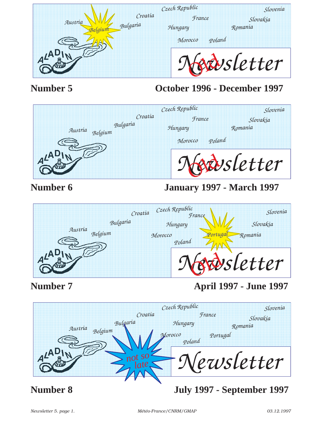

# **Number 5 October 1996 - December 1997**



# **Number 6 January 1997 - March 1997**



# **Number 7 April 1997 - June 1997**

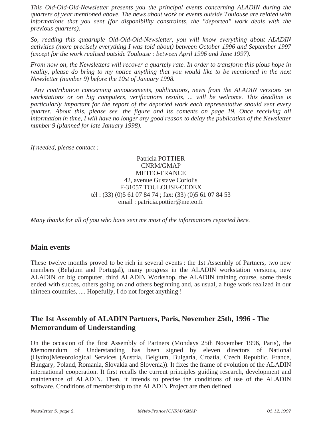*This Old-Old-Old-Newsletter presents you the principal events concerning ALADIN during the quarters of year mentioned above. The news about work or events outside Toulouse are related with informations that you sent (for disponibility constraints, the "deported" work deals with the previous quarters).* 

*So, reading this quadruple Old-Old-Old-Newsletter, you will know everything about ALADIN activities (more precisely everything I was told about) between October 1996 and September 1997 (except for the work realised outside Toulouse : between April 1996 and June 1997).*

*From now on, the Newsletters will recover a quartely rate. In order to transform this pious hope in reality, please do bring to my notice anything that you would like to be mentioned in the next Newsletter (number 9) before the 10st of January 1998.*

*Any contribution concerning annoucements, publications, news from the ALADIN versions on workstations or on big computers, verifications results, ... will be welcome. This deadline is particularly important for the report of the deported work each representative should sent every quarter. About this, please see the figure and its coments on page 19. Once receiving all information in time, I will have no longer any good reason to delay the publication of the Newsletter number 9 (planned for late January 1998).*

*If needed, please contact :* 

Patricia POTTIER CNRM/GMAP METEO-FRANCE 42, avenue Gustave Coriolis F-31057 TOULOUSE-CEDEX tél : (33) (0)5 61 07 84 74 ; fax: (33) (0)5 61 07 84 53 email : patricia.pottier@meteo.fr

*Many thanks for all of you who have sent me most of the informations reported here.*

#### **Main events**

These twelve months proved to be rich in several events : the 1st Assembly of Partners, two new members (Belgium and Portugal), many progress in the ALADIN workstation versions, new ALADIN on big computer, third ALADIN Workshop, the ALADIN training course, some thesis ended with succes, others going on and others beginning and, as usual, a huge work realized in our thirteen countries, .... Hopefully, I do not forget anything !

#### **The 1st Assembly of ALADIN Partners, Paris, November 25th, 1996 - The Memorandum of Understanding**

On the occasion of the first Assembly of Partners (Mondays 25th November 1996, Paris), the Memorandum of Understanding has been signed by eleven directors of National (Hydro)Meteorological Services (Austria, Belgium, Bulgaria, Croatia, Czech Republic, France, Hungary, Poland, Romania, Slovakia and Slovenia)). It fixes the frame of evolution of the ALADIN international cooperation. It first recalls the current principles guiding research, development and maintenance of ALADIN. Then, it intends to precise the conditions of use of the ALADIN software. Conditions of membership to the ALADIN Project are then defined.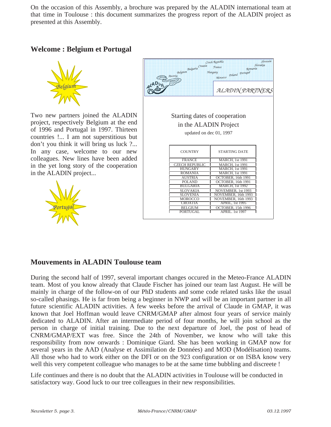On the occasion of this Assembly, a brochure was prepared by the ALADIN international team at that time in Toulouse : this document summarizes the progress report of the ALADIN project as presented at this Assembly.

#### **Welcome : Belgium et Portugal**



Two new partners joined the ALADIN project, respectively Belgium at the end of 1996 and Portugal in 1997. Thirteen countries !... I am not superstitious but don't you think it will bring us luck ?... In any case, welcome to our new colleagues. New lines have been added in the yet long story of the cooperation in the ALADIN project...



|            | Bulgaria<br>Bulgaria<br>Belgium<br>Austria | Czech Republic<br>France<br>Romania<br>Hungary<br>Poland Portugal<br>Morocco. | Slovenia<br>Slovakia |
|------------|--------------------------------------------|-------------------------------------------------------------------------------|----------------------|
| $q^{L}$ AD |                                            | ALADIN PARTNERS                                                               |                      |
|            | Starting dates of cooperation              |                                                                               |                      |
|            | in the ALADIN Project                      |                                                                               |                      |
|            | updated on dec 01, 1997                    |                                                                               |                      |
|            |                                            |                                                                               |                      |
|            |                                            |                                                                               |                      |
|            | <b>COUNTRY</b>                             | <b>STARTING DATE</b>                                                          |                      |
|            | <b>FRANCE</b>                              | <b>MARCH</b> , 1st 1991                                                       |                      |
|            | <b>CZECH REPUBLIC</b>                      | <b>MARCH, 1st 1991</b>                                                        |                      |
|            | <b>HUNGARY</b>                             | <b>MARCH, 1st 1991</b>                                                        |                      |
|            | ROMANIA                                    | <b>MARCH.</b> 1st 1991                                                        |                      |
|            | AUSTRIA                                    | OCTOBER, 16th 1991                                                            |                      |
|            | POLAND                                     | OCTOBER, 16th 1991                                                            |                      |
|            | BULGARIA                                   | <b>MARCH.</b> 1st 1992                                                        |                      |
|            | SLOVAKIA                                   | NOVEMBER, 1st 1993                                                            |                      |
|            | <b>SLOVENIA</b>                            | NOVEMBER, 16th 1993                                                           |                      |
|            | MOROCCO                                    | NOVEMBER, 16th 1993                                                           |                      |
|            | <b>CROATIA</b>                             | <b>APRIL, 1st 1995</b>                                                        |                      |
|            | BEL GIUM                                   | OCTOBER, 15th 1996                                                            |                      |
|            | PORTUGAL                                   | APRIL 1st 1997                                                                |                      |
|            |                                            |                                                                               |                      |

#### **Mouvements in ALADIN Toulouse team**

During the second half of 1997, several important changes occured in the Meteo-France ALADIN team. Most of you know already that Claude Fischer has joined our team last August. He will be mainly in charge of the follow-on of our PhD students and some code related tasks like the usual so-called phasings. He is far from being a beginner in NWP and will be an important partner in all future scientific ALADIN activities. A few weeks before the arrival of Claude in GMAP, it was known that Joel Hoffman would leave CNRM/GMAP after almost four years of service mainly dedicated to ALADIN. After an intermediate period of four months, he will join school as the person in charge of initial training. Due to the next departure of Joel, the post of head of CNRM/GMAP/EXT was free. Since the 24th of November, we know who will take this responsibility from now onwards : Dominique Giard. She has been working in GMAP now for several years in the AAD (Analyse et Assimilation de Données) and MOD (Modélisation) teams. All those who had to work either on the DFI or on the 923 configuration or on ISBA know very well this very competent colleague who manages to be at the same time bubbling and discreete !

Life continues and there is no doubt that the ALADIN activities in Toulouse will be conducted in satisfactory way. Good luck to our tree colleagues in their new responsibilities.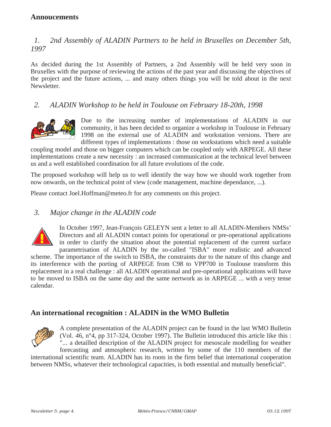#### **Annoucements**

#### *1. 2nd Assembly of ALADIN Partners to be held in Bruxelles on December 5th, 1997*

As decided during the 1st Assembly of Partners, a 2nd Assembly will be held very soon in Bruxelles with the purpose of reviewing the actions of the past year and discussing the objectives of the project and the future actions, ... and many others things you will be told about in the next Newsletter.

#### *2. ALADIN Workshop to be held in Toulouse on February 18-20th, 1998*



Due to the increasing number of implementations of ALADIN in our community, it has been decided to organize a workshop in Toulouse in February 1998 on the external use of ALADIN and workstation versions. There are different types of implementations : those on workstations which need a suitable

coupling model and those on bigger computers which can be coupled only with ARPEGE. All these implementations create a new necessity : an increased communication at the technical level between us and a well established coordination for all future evolutions of the code.

The proposed workshop will help us to well identify the way how we should work together from now onwards, on the technical point of view (code management, machine dependance, ...).

Please contact Joel.Hoffman@meteo.fr for any comments on this project.

#### *3. Major change in the ALADIN code*



calendar.

In October 1997, Jean-François GELEYN sent a letter to all ALADIN-Members NMSs' Directors and all ALADIN contact points for operational or pre-operational applications in order to clarify the situation about the potential replacement of the current surface parametrisation of ALADIN by the so-called "ISBA" more realistic and advanced scheme. The importance of the switch to ISBA, the constraints dur to the nature of this change and its interference with the porting of ARPEGE from C98 to VPP700 in Toulouse transform this replacement in a real challenge : all ALADIN operational and pre-operational applications will have to be moved to ISBA on the same day and the same nertwork as in ARPEGE ... with a very tense

#### **An international recognition : ALADIN in the WMO Bulletin**



A complete presentation of the ALADIN project can be found in the last WMO Bulletin (Vol. 46, n°4, pp 317-324, October 1997). The Bulletin introduced this article like this : "... a detailled description of the ALADIN project for mesoscale modelling for weather forecasting and atmospheric research, written by some of the 110 members of the

international scientific team. ALADIN has its roots in the firm belief that international cooperation between NMSs, whatever their technological capacities, is both essential and mutually beneficial".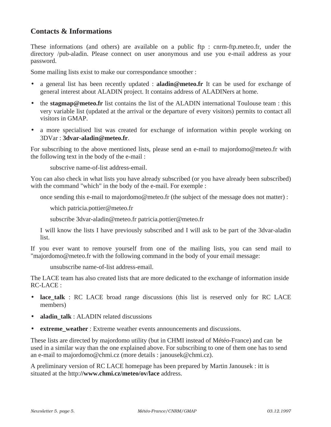#### **Contacts & Informations**

These informations (and others) are available on a public ftp : cnrm-ftp.meteo.fr, under the directory /pub-aladin. Please connect on user anonymous and use you e-mail address as your password.

Some mailing lists exist to make our correspondance smoother :

- a general list has been recently updated : **aladin@meteo.fr** It can be used for exchange of general interest about ALADIN project. It contains address of ALADINers at home.
- the **stagmap@meteo.fr** list contains the list of the ALADIN international Toulouse team : this very variable list (updated at the arrival or the departure of every visitors) permits to contact all visitors in GMAP.
- a more specialised list was created for exchange of information within people working on 3DVar : **3dvar-aladin@meteo.fr**.

For subscribing to the above mentioned lists, please send an e-mail to majordomo@meteo.fr with the following text in the body of the e-mail :

subscrive name-of-list address-email.

You can also check in what lists you have already subscribed (or you have already been subscribed) with the command "which" in the body of the e-mail. For exemple :

once sending this e-mail to majordomo@meteo.fr (the subject of the message does not matter) :

which patricia.pottier@meteo.fr

subscribe 3dvar-aladin@meteo.fr patricia.pottier@meteo.fr

I will know the lists I have previously subscribed and I will ask to be part of the 3dvar-aladin list.

If you ever want to remove yourself from one of the mailing lists, you can send mail to "majordomo@meteo.fr with the following command in the body of your email message:

unsubscribe name-of-list address-email.

The LACE team has also created lists that are more dedicated to the exchange of information inside RC-LACE :

- **lace talk** : RC LACE broad range discussions (this list is reserved only for RC LACE members)
- **aladin talk** : ALADIN related discussions
- **extreme\_weather** : Extreme weather events announcements and discussions.

These lists are directed by majordomo utility (but in CHMI instead of Météo-France) and can be used in a similar way than the one explained above. For subscribing to one of them one has to send an e-mail to majordomo@chmi.cz (more details : janousek@chmi.cz).

A preliminary version of RC LACE homepage has been prepared by Martin Janousek : itt is situated at the http:**//www.chmi.cz/meteo/ov/lace** address.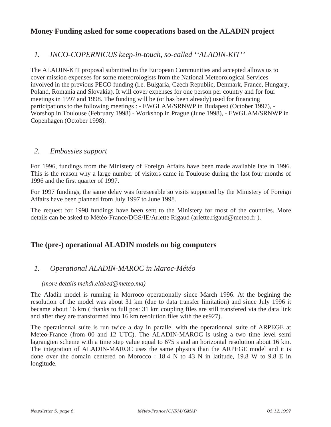#### **Money Funding asked for some cooperations based on the ALADIN project**

#### *1. INCO-COPERNICUS keep-in-touch, so-called ''ALADIN-KIT''*

The ALADIN-KIT proposal submitted to the European Communities and accepted allows us to cover mission expenses for some meteorologists from the National Meteorological Services involved in the previous PECO funding (i.e. Bulgaria, Czech Republic, Denmark, France, Hungary, Poland, Romania and Slovakia). It will cover expenses for one person per country and for four meetings in 1997 and 1998. The funding will be (or has been already) used for financing participations to the following meetings : - EWGLAM/SRNWP in Budapest (October 1997), - Worshop in Toulouse (February 1998) - Workshop in Prague (June 1998), - EWGLAM/SRNWP in Copenhagen (October 1998).

#### *2. Embassies support*

For 1996, fundings from the Ministery of Foreign Affairs have been made available late in 1996. This is the reason why a large number of visitors came in Toulouse during the last four months of 1996 and the first quarter of 1997.

For 1997 fundings, the same delay was foreseeable so visits supported by the Ministery of Foreign Affairs have been planned from July 1997 to June 1998.

The request for 1998 fundings have been sent to the Ministery for most of the countries. More details can be asked to Météo-France/DGS/IE/Arlette Rigaud (arlette.rigaud@meteo.fr ).

#### **The (pre-) operational ALADIN models on big computers**

#### *1. Operational ALADIN-MAROC in Maroc-Météo*

#### *(more details mehdi.elabed@meteo.ma)*

The Aladin model is running in Morroco operationally since March 1996. At the begining the resolution of the model was about 31 km (due to data transfer limitation) and since July 1996 it became about 16 km ( thanks to full pos: 31 km coupling files are still transfered via the data link and after they are transformed into 16 km resolution files with the ee927).

The operationnal suite is run twice a day in parallel with the operationnal suite of ARPEGE at Meteo-France (from 00 and 12 UTC). The ALADIN-MAROC is using a two time level semi lagrangien scheme with a time step value equal to 675 s and an horizontal resolution about 16 km. The integration of ALADIN-MAROC uses the same physics than the ARPEGE model and it is done over the domain centered on Morocco : 18.4 N to 43 N in latitude, 19.8 W to 9.8 E in longitude.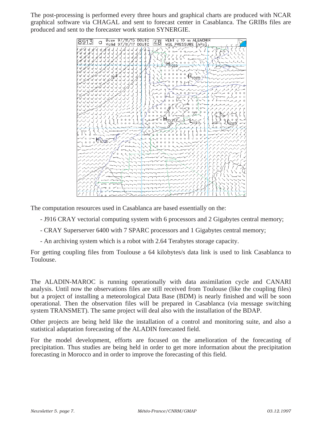The post-processing is performed every three hours and graphical charts are produced with NCAR graphical software via CHAGAL and sent to forecast center in Casablanca. The GRIBs files are produced and sent to the forecaster work station SYNERGIE.



The computation resources used in Casablanca are based essentially on the:

- J916 CRAY vectorial computing system with 6 processors and 2 Gigabytes central memory;
- CRAY Superserver 6400 with 7 SPARC processors and 1 Gigabytes central memory;
- An archiving system which is a robot with 2.64 Terabytes storage capacity.

For getting coupling files from Toulouse a 64 kilobytes/s data link is used to link Casablanca to Toulouse.

The ALADIN-MAROC is running operationally with data assimilation cycle and CANARI analysis. Until now the observations files are still received from Toulouse (like the coupling files) but a project of installing a meteorological Data Base (BDM) is nearly finished and will be soon operational. Then the observation files will be prepared in Casablanca (via message switching system TRANSMET). The same project will deal also with the installation of the BDAP.

Other projects are being held like the installation of a control and monitoring suite, and also a statistical adaptation forecasting of the ALADIN forecasted field.

For the model development, efforts are focused on the amelioration of the forecasting of precipitation. Thus studies are being held in order to get more information about the precipitation forecasting in Morocco and in order to improve the forecasting of this field.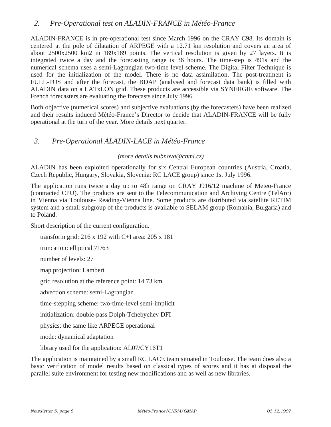#### *2. Pre-Operational test on ALADIN-FRANCE in Météo-France*

ALADIN-FRANCE is in pre-operational test since March 1996 on the CRAY C98. Its domain is centered at the pole of dilatation of ARPEGE with a 12.71 km resolution and covers an area of about 2500x2500 km2 in 189x189 points. The vertical resolution is given by 27 layers. It is integrated twice a day and the forecasting range is 36 hours. The time-step is 491s and the numerical schema uses a semi-Lagrangian two-time level scheme. The Digital Filter Technique is used for the initialization of the model. There is no data assimilation. The post-treatment is FULL-POS and after the forecast, the BDAP (analysed and forecast data bank) is filled with ALADIN data on a LATxLON grid. These products are accessible via SYNERGIE software. The French forecasters are evaluating the forecasts since July 1996.

Both objective (numerical scores) and subjective evaluations (by the forecasters) have been realized and their results induced Météo-France's Director to decide that ALADIN-FRANCE will be fully operational at the turn of the year. More details next quarter.

#### *3. Pre-Operational ALADIN-LACE in Météo-France*

#### *(more details bubnova@chmi.cz)*

ALADIN has been exploited operationally for six Central European countries (Austria, Croatia, Czech Republic, Hungary, Slovakia, Slovenia: RC LACE group) since 1st July 1996.

The application runs twice a day up to 48h range on CRAY J916/12 machine of Meteo-France (contracted CPU). The products are sent to the Telecommunication and Archiving Centre (TelArc) in Vienna via Toulouse- Reading-Vienna line. Some products are distributed via satellite RETIM system and a small subgroup of the products is available to SELAM group (Romania, Bulgaria) and to Poland.

Short description of the current configuration.

transform grid: 216 x 192 with C+I area: 205 x 181

truncation: elliptical 71/63

number of levels: 27

map projection: Lambert

grid resolution at the reference point: 14.73 km

advection scheme: semi-Lagrangian

time-stepping scheme: two-time-level semi-implicit

initialization: double-pass Dolph-Tchebychev DFI

physics: the same like ARPEGE operational

mode: dynamical adaptation

library used for the application: AL07/CY16T1

The application is maintained by a small RC LACE team situated in Toulouse. The team does also a basic verification of model results based on classical types of scores and it has at disposal the parallel suite environment for testing new modifications and as well as new libraries.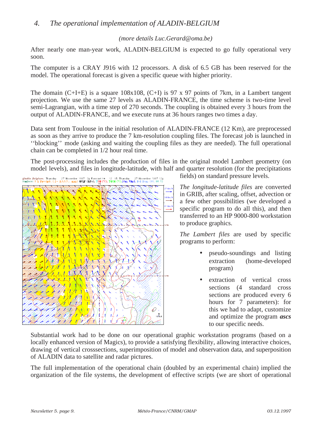#### *4. The operational implementation of ALADIN-BELGIUM*

#### *(more details Luc.Gerard@oma.be)*

After nearly one man-year work, ALADIN-BELGIUM is expected to go fully operational very soon.

The computer is a CRAY J916 with 12 processors. A disk of 6.5 GB has been reserved for the model. The operational forecast is given a specific queue with higher priority.

The domain  $(C+I+E)$  is a square 108x108,  $(C+I)$  is 97 x 97 points of 7km, in a Lambert tangent projection. We use the same 27 levels as ALADIN-FRANCE, the time scheme is two-time level semi-Lagrangian, with a time step of 270 seconds. The coupling is obtained every 3 hours from the output of ALADIN-FRANCE, and we execute runs at 36 hours ranges two times a day.

Data sent from Toulouse in the initial resolution of ALADIN-FRANCE (12 Km), are preprocessed as soon as they arrive to produce the 7 km-resolution coupling files. The forecast job is launched in ''blocking'' mode (asking and waiting the coupling files as they are needed). The full operational chain can be completed in 1/2 hour real time.

The post-processing includes the production of files in the original model Lambert geometry (on model levels), and files in longitude-latitude, with half and quarter resolution (for the precipitations



fields) on standard pressure levels.

*The longitude-latitude files* are converted in GRIB, after scaling, offset, advection or a few other possibilities (we developed a specific program to do all this), and then transferred to an HP 9000-800 workstation to produce graphics.

*The Lambert files* are used by specific programs to perform:

- pseudo-soundings and listing extraction (home-developed program)
- extraction of vertical cross sections (4 standard cross) sections are produced every 6 hours for 7 parameters): for this we had to adapt, customize and optimize the program *ascs* to our specific needs.

Substantial work had to be done on our operational graphic workstation programs (based on a locally enhanced version of Magics), to provide a satisfying flexibility, allowing interactive choices, drawing of vertical crosssections, superimposition of model and observation data, and superposition of ALADIN data to satellite and radar pictures.

The full implementation of the operational chain (doubled by an experimental chain) implied the organization of the file systems, the development of effective scripts (we are short of operational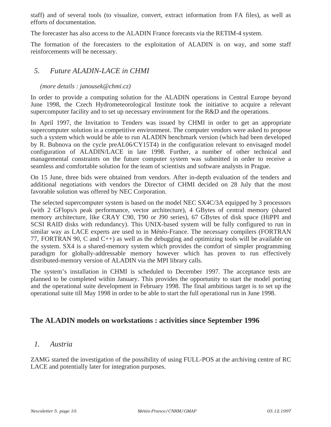staff) and of several tools (to visualize, convert, extract information from FA files), as well as efforts of documentation.

The forecaster has also access to the ALADIN France forecasts via the RETIM-4 system.

The formation of the forecasters to the exploitation of ALADIN is on way, and some staff reinforcements will be necessary.

#### *5. Future ALADIN-LACE in CHMI*

#### *(more details : janousek@chmi.cz)*

In order to provide a computing solution for the ALADIN operations in Central Europe beyond June 1998, the Czech Hydrometeorological Institute took the initiative to acquire a relevant supercomputer facility and to set up necessary environment for the R&D and the operations.

In April 1997, the Invitation to Tenders was issued by CHMI in order to get an appropriate supercomputer solution in a competitive environment. The computer vendors were asked to propose such a system which would be able to run ALADIN benchmark version (which had been developed by R. Bubnova on the cycle preAL06/CY15T4) in the configuration relevant to envisaged model configuration of ALADIN/LACE in late 1998. Further, a number of other technical and managemental constraints on the future computer system was submitted in order to receive a seamless and comfortable solution for the team of scientists and software analysts in Prague.

On 15 June, three bids were obtained from vendors. After in-depth evaluation of the tenders and additional negotiations with vendors the Director of CHMI decided on 28 July that the most favorable solution was offered by NEC Corporation.

The selected supercomputer system is based on the model NEC SX4C/3A equipped by 3 processors (with 2 GFlops/s peak performance, vector architecture), 4 GBytes of central memory (shared memory architecture, like CRAY C90, T90 or J90 series), 67 GBytes of disk space (HiPPI and SCSI RAID disks with redundancy). This UNIX-based system will be fully configured to run in similar way as LACE experts are used to in Météo-France. The necessary compilers (FORTRAN 77, FORTRAN 90, C and  $C_{++}$ ) as well as the debugging and optimizing tools will be available on the system. SX4 is a shared-memory system which provides the comfort of simpler programming paradigm for globally-addressable memory however which has proven to run effectively distributed-memory version of ALADIN via the MPI library calls.

The system's installation in CHMI is scheduled to December 1997. The acceptance tests are planned to be completed within January. This provides the opportunity to start the model porting and the operational suite development in February 1998. The final ambitious target is to set up the operational suite till May 1998 in order to be able to start the full operational run in June 1998.

#### **The ALADIN models on workstations : activities since September 1996**

#### *1. Austria*

ZAMG started the investigation of the possibility of using FULL-POS at the archiving centre of RC LACE and potentially later for integration purposes.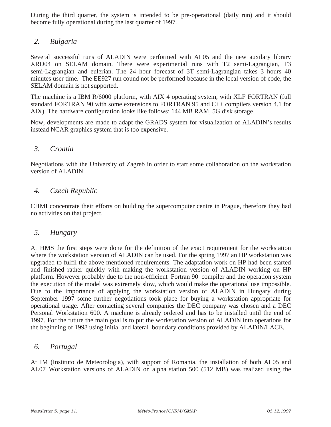During the third quarter, the system is intended to be pre-operational (daily run) and it should become fully operational during the last quarter of 1997.

#### *2. Bulgaria*

Several successful runs of ALADIN were performed with AL05 and the new auxilary library XRD04 on SELAM domain. There were experimental runs with T2 semi-Lagrangian, T3 semi-Lagrangian and eulerian. The 24 hour forecast of 3T semi-Lagrangian takes 3 hours 40 minutes user time. The EE927 run cound not be performed because in the local version of code, the SELAM domain is not supported.

The machine is a IBM R/6000 platform, with AIX 4 operating system, with XLF FORTRAN (full standard FORTRAN 90 with some extensions to FORTRAN 95 and C++ compilers version 4.1 for AIX). The hardware configuration looks like follows: 144 MB RAM, 5G disk storage.

Now, developments are made to adapt the GRADS system for visualization of ALADIN's results instead NCAR graphics system that is too expensive.

#### *3. Croatia*

Negotiations with the University of Zagreb in order to start some collaboration on the workstation version of ALADIN.

#### *4. Czech Republic*

CHMI concentrate their efforts on building the supercomputer centre in Prague, therefore they had no activities on that project.

#### *5. Hungary*

At HMS the first steps were done for the definition of the exact requirement for the workstation where the workstation version of ALADIN can be used. For the spring 1997 an HP workstation was upgraded to fulfil the above mentioned requirements. The adaptation work on HP had been started and finished rather quickly with making the workstation version of ALADIN working on HP platform. However probably due to the non-efficient Fortran 90 compiler and the operation system the execution of the model was extremely slow, which would make the operational use impossible. Due to the importance of applying the workstation version of ALADIN in Hungary during September 1997 some further negotiations took place for buying a workstation appropriate for operational usage. After contacting several companies the DEC company was chosen and a DEC Personal Workstation 600. A machine is already ordered and has to be installed until the end of 1997. For the future the main goal is to put the workstation version of ALADIN into operations for the beginning of 1998 using initial and lateral boundary conditions provided by ALADIN/LACE.

#### *6. Portugal*

At IM (Instituto de Meteorologia), with support of Romania, the installation of both AL05 and AL07 Workstation versions of ALADIN on alpha station 500 (512 MB) was realized using the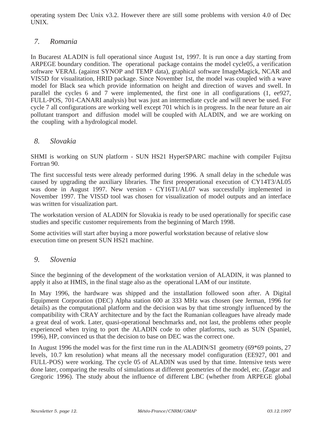operating system Dec Unix v3.2. However there are still some problems with version 4.0 of Dec UNIX.

#### *7. Romania*

In Bucarest ALADIN is full operational since August 1st, 1997. It is run once a day starting from ARPEGE boundary condition. The operational package contains the model cycle05, a verification software VERAL (against SYNOP and TEMP data), graphical software ImageMagick, NCAR and VIS5D for visualitation, HRID package. Since November 1st, the model was coupled with a wave model for Black sea which provide information on height and direction of waves and swell. In parallel the cycles 6 and 7 were implemented, the first one in all configurations (1, ee927, FULL-POS, 701-CANARI analysis) but was just an intermediate cycle and will never be used. For cycle 7 all configurations are working well except 701 which is in progress. In the near future an air pollutant transport and diffusion model will be coupled with ALADIN, and we are working on the coupling with a hydrological model.

#### *8. Slovakia*

SHMI is working on SUN platform - SUN HS21 HyperSPARC machine with compiler Fujitsu Fortran 90.

The first successful tests were already performed during 1996. A small delay in the schedule was caused by upgrading the auxiliary libraries. The first preoperational execution of CY14T3/AL05 was done in August 1997. New version - CY16T1/AL07 was successfully implemented in November 1997. The VIS5D tool was chosen for visualization of model outputs and an interface was written for visualization part.

The workstation version of ALADIN for Slovakia is ready to be used operationally for specific case studies and specific customer requirements from the beginning of March 1998.

Some activities will start after buying a more powerful workstation because of relative slow execution time on present SUN HS21 machine.

#### *9. Slovenia*

Since the beginning of the development of the workstation version of ALADIN, it was planned to apply it also at HMIS, in the final stage also as the operational LAM of our institute.

In May 1996, the hardware was shipped and the installation followed soon after. A Digital Equipment Corporation (DEC) Alpha station 600 at 333 MHz was chosen (see Jerman, 1996 for details) as the computational platform and the decision was by that time strongly influenced by the compatibility with CRAY architecture and by the fact the Rumanian colleagues have already made a great deal of work. Later, quasi-operational benchmarks and, not last, the problems other people experienced when trying to port the ALADIN code to other platforms, such as SUN (Spaniel, 1996), HP, convinced us that the decision to base on DEC was the correct one.

In August 1996 the model was for the first time run in the ALADIN/SI geometry (69\*69 points, 27 levels, 10.7 km resolution) what means all the necessary model configuration (EE927, 001 and FULL-POS) were working. The cycle 05 of ALADIN was used by that time. Intensive tests were done later, comparing the results of simulations at different geometries of the model, etc. (Zagar and Gregoric 1996). The study about the influence of different LBC (whether from ARPEGE global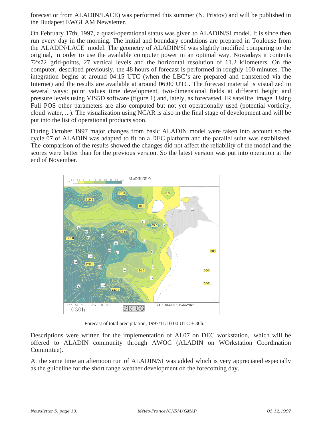forecast or from ALADIN/LACE) was performed this summer (N. Pristov) and will be published in the Budapest EWGLAM Newsletter.

On February 17th, 1997, a quasi-operational status was given to ALADIN/SI model. It is since then run every day in the morning. The initial and boundary conditions are prepared in Toulouse from the ALADIN/LACE model. The geometry of ALADIN/SI was slightly modified comparing to the original, in order to use the available computer power in an optimal way. Nowadays it contents 72x72 grid-points, 27 vertical levels and the horizontal resolution of 11.2 kilometers. On the computer, described previously, the 48 hours of forecast is performed in roughly 100 minutes. The integration begins at around 04:15 UTC (when the LBC's are prepared and transferred via the Internet) and the results are available at around 06:00 UTC. The forecast material is visualized in several ways: point values time development, two-dimensional fields at different height and pressure levels using VIS5D software (figure 1) and, lately, as forecasted IR satellite image. Using Full POS other parameters are also computed but not yet operationally used (potential vorticity, cloud water, ...). The visualization using NCAR is also in the final stage of development and will be put into the list of operational products soon.

During October 1997 major changes from basic ALADIN model were taken into account so the cycle 07 of ALADIN was adapted to fit on a DEC platform and the parallel suite was established. The comparison of the results showed the changes did not affect the reliability of the model and the scores were better than for the previous version. So the latest version was put into operation at the end of November.



Forecast of total precipitation,  $1997/11/1000$  UTC + 36h.

Descriptions were written for the implementation of AL07 on DEC workstation, which will be offered to ALADIN community through AWOC (ALADIN on WOrkstation Coordination Committee).

At the same time an afternoon run of ALADIN/SI was added which is very appreciated especially as the guideline for the short range weather development on the forecoming day.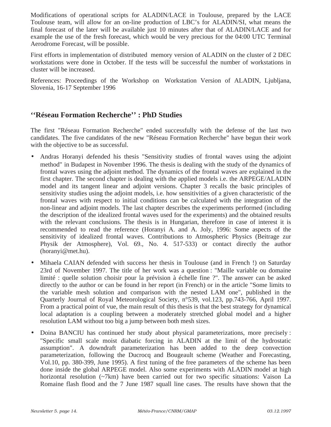Modifications of operational scripts for ALADIN/LACE in Toulouse, prepared by the LACE Toulouse team, will allow for an on-line production of LBC's for ALADIN/SI, what means the final forecast of the later will be available just 10 minutes after that of ALADIN/LACE and for example the use of the fresh forecast, which would be very precious for the 04:00 UTC Terminal Aerodrome Forecast, will be possible.

First efforts in implementation of distributed memory version of ALADIN on the cluster of 2 DEC workstations were done in October. If the tests will be successful the number of workstations in cluster will be increased.

References: Proceedings of the Workshop on Workstation Version of ALADIN, Ljubljana, Slovenia, 16-17 September 1996

#### **''Réseau Formation Recherche'' : PhD Studies**

The first "Réseau Formation Recherche" ended successfully with the defense of the last two candidates. The five candidates of the new "Réseau Formation Recherche" have begun their work with the objective to be as successful.

- Andras Horanyi defended his thesis "Sensitivity studies of frontal waves using the adjoint method" in Budapest in November 1996. The thesis is dealing with the study of the dynamics of frontal waves using the adjoint method. The dynamics of the frontal waves are explained in the first chapter. The second chapter is dealing with the applied models i.e. the ARPEGE/ALADIN model and its tangent linear and adjoint versions. Chapter 3 recalls the basic principles of sensitivity studies using the adjoint models, i.e. how sensitivities of a given characteristic of the frontal waves with respect to initial conditions can be calculated with the integration of the non-linear and adjoint models. The last chapter describes the experiments performed (including the description of the idealized frontal waves used for the experiments) and the obtained results with the relevant conclusions. The thesis is in Hungarian, therefore in case of interest it is recommended to read the reference (Horanyi A. and A. Joly, 1996: Some aspects of the sensitivity of idealized frontal waves. Contributions to Atmospheric Physics (Beitrage zur Physik der Atmosphere), Vol. 69., No. 4. 517-533) or contact directly the author (horanyi@met.hu).
- Mihaela CAIAN defended with success her thesis in Toulouse (and in French !) on Saturday 23rd of November 1997. The title of her work was a question : "Maille variable ou domaine limité : quelle solution choisir pour la prévision à échelle fine ?". The answer can be asked directly to the author or can be found in her report (in French) or in the article "Some limits to the variable mesh solution and comparison with the nested LAM one", published in the Quarterly Journal of Royal Meteorological Society, n°539, vol.123, pp.743-766, April 1997. From a practical point of vue, the main result of this thesis is that the best strategy for dynamical local adaptation is a coupling between a moderately stretched global model and a higher resolution LAM without too big a jump between both mesh sizes.
- Doina BANCIU has continued her study about physical parameterizations, more precisely : "Specific small scale moist diabatic forcing in ALADIN at the limit of the hydrostatic assumption". A downdraft parameterization has been added to the deep convection parameterization, following the Ducrocq and Bougeault scheme (Weather and Forecasting, Vol.10, pp. 380-399, June 1995). A first tuning of the free parameters of the scheme has been done inside the global ARPEGE model. Also some experiments with ALADIN model at high horizontal resolution (~7km) have been carried out for two specific situations: Vaison La Romaine flash flood and the 7 June 1987 squall line cases. The results have shown that the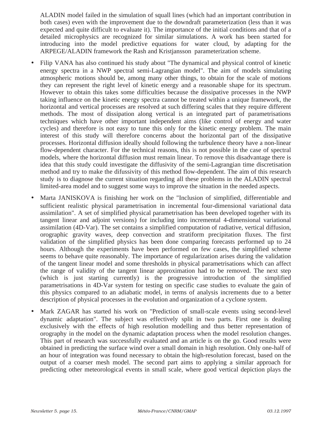ALADIN model failed in the simulation of squall lines (which had an important contribution in both cases) even with the improvement due to the downdraft parameterization (less than it was expected and quite difficult to evaluate it). The importance of the initial conditions and that of a detailed microphysics are recognized for similar simulations. A work has been started for introducing into the model predictive equations for water cloud, by adapting for the ARPEGE/ALADIN framework the Rash and Kristjansson parameterization scheme.

- Filip VANA has also continued his study about "The dynamical and physical control of kinetic energy spectra in a NWP spectral semi-Lagrangian model". The aim of models simulating atmospheric motions should be, among many other things, to obtain for the scale of motions they can represent the right level of kinetic energy and a reasonable shape for its spectrum. However to obtain this takes some difficulties because the dissipative processes in the NWP taking influence on the kinetic energy spectra cannot be treated within a unique framework, the horizontal and vertical processes are resolved at such differing scales that they require different methods. The most of dissipation along vertical is an integrated part of parametrisations techniques which have other important independent aims (like control of energy and water cycles) and therefore is not easy to tune this only for the kinetic energy problem. The main interest of this study will therefore concerns about the horizontal part of the dissipative processes. Horizontal diffusion ideally should following the turbulence theory have a non-linear flow-dependent character. For the technical reasons, this is not possible in the case of spectral models, where the horizontal diffusion must remain linear. To remove this disadvantage there is idea that this study could investigate the diffusivity of the semi-Lagrangian time discretisation method and try to make the difussivity of this method flow-dependent. The aim of this research study is to diagnose the current situation regarding all these problems in the ALADIN spectral limited-area model and to suggest some ways to improve the situation in the needed aspects.
- Marta JANISKOVA is finishing her work on the "Inclusion of simplified, differentiable and sufficient realistic physical parametrisation in incremental four-dimensional variational data assimilation". A set of simplified physical parametrisation has been developed together with its tangent linear and adjoint versions) for including into incremental 4-dimensional variational assimilation (4D-Var). The set contains a simplified computation of radiative, vertical diffusion, orographic gravity waves, deep convection and stratiform precipitation fluxes. The first validation of the simplified physics has been done comparing forecasts performed up to 24 hours. Although the experiments have been performed on few cases, the simplified scheme seems to behave quite reasonably. The importance of regularization arises during the validation of the tangent linear model and some thresholds in physical parametrisations which can affect the range of validity of the tangent linear approximation had to be removed. The next step (which is just starting currently) is the progressive introduction of the simplified parametrisations in 4D-Var system for testing on specific case studies to evaluate the gain of this physics compared to an adiabatic model, in terms of analysis increments due to a better description of physical processes in the evolution and organization of a cyclone system.
- Mark ZAGAR has started his work on "Prediction of small-scale events using second-level dynamic adaptation". The subject was effectively split in two parts. First one is dealing exclusively with the effects of high resolution modelling and thus better representation of orography in the model on the dynamic adaptation process when the model resolution changes. This part of research was successfully evaluated and an article is on the go. Good results were obtained in predicting the surface wind over a small domain in high resolution. Only one-half of an hour of integration was found necessary to obtain the high-resolution forecast, based on the output of a coarser mesh model. The second part aims to applying a similar approach for predicting other meteorological events in small scale, where good vertical depiction plays the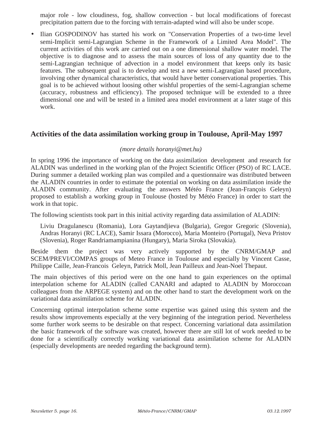major role - low cloudiness, fog, shallow convection - but local modifications of forecast precipitation pattern due to the forcing with terrain-adapted wind will also be under scope.

• Ilian GOSPODINOV has started his work on "Conservation Properties of a two-time level semi-Implicit semi-Lagrangian Scheme in the Framework of a Limited Area Model". The current activities of this work are carried out on a one dimensional shallow water model. The objective is to diagnose and to assess the main sources of loss of any quantity due to the semi-Lagrangian technique of advection in a model environment that keeps only its basic features. The subsequent goal is to develop and test a new semi-Lagrangian based procedure, involving other dynamical characteristics, that would have better conservational properties. This goal is to be achieved without loosing other wishful properties of the semi-Lagrangian scheme (accuracy, robustness and efficiency). The proposed technique will be extended to a three dimensional one and will be tested in a limited area model environment at a later stage of this work.

#### **Activities of the data assimilation working group in Toulouse, April-May 1997**

#### *(more details horanyi@met.hu)*

In spring 1996 the importance of working on the data assimilation development and research for ALADIN was underlined in the working plan of the Project Scientific Officer (PSO) of RC LACE. During summer a detailed working plan was compiled and a questionnaire was distributed between the ALADIN countries in order to estimate the potential on working on data assimilation inside the ALADIN community. After evaluating the answers Météo France (Jean-François Geleyn) proposed to establish a working group in Toulouse (hosted by Météo France) in order to start the work in that topic.

The following scientists took part in this initial activity regarding data assimilation of ALADIN:

Liviu Dragulanescu (Romania), Lora Gaytandjieva (Bulgaria), Gregor Gregoric (Slovenia), Andras Horanyi (RC LACE), Samir Issara (Morocco), Maria Monteiro (Portugal), Neva Pristov (Slovenia), Roger Randriamampianina (Hungary), Maria Siroka (Slovakia).

Beside them the project was very actively supported by the CNRM/GMAP and SCEM/PREVI/COMPAS groups of Meteo France in Toulouse and especially by Vincent Casse, Philippe Caille, Jean-Francois Geleyn, Patrick Moll, Jean Pailleux and Jean-Noel Thepaut.

The main objectives of this period were on the one hand to gain experiences on the optimal interpolation scheme for ALADIN (called CANARI and adapted to ALADIN by Moroccoan colleagues from the ARPEGE system) and on the other hand to start the development work on the variational data assimilation scheme for ALADIN.

Concerning optimal interpolation scheme some expertise was gained using this system and the results show improvements especially at the very beginning of the integration period. Nevertheless some further work seems to be desirable on that respect. Concerning variational data assimilation the basic framework of the software was created, however there are still lot of work needed to be done for a scientifically correctly working variational data assimilation scheme for ALADIN (especially developments are needed regarding the background term).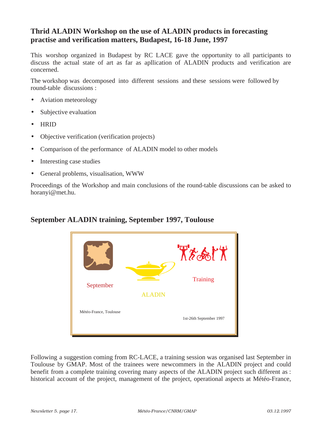### **Thrid ALADIN Workshop on the use of ALADIN products in forecasting practise and verification matters, Budapest, 16-18 June, 1997**

This worshop organized in Budapest by RC LACE gave the opportunity to all participants to discuss the actual state of art as far as apllication of ALADIN products and verification are concerned.

The workshop was decomposed into different sessions and these sessions were followed by round-table discussions :

- Aviation meteorology
- Subjective evaluation
- HRID
- Objective verification (verification projects)
- Comparison of the performance of ALADIN model to other models
- Interesting case studies
- General problems, visualisation, WWW

Proceedings of the Workshop and main conclusions of the round-table discussions can be asked to horanyi@met.hu.

# **September ALADIN training, September 1997, Toulouse**



Following a suggestion coming from RC-LACE, a training session was organised last September in Toulouse by GMAP. Most of the trainees were newcommers in the ALADIN project and could benefit from a complete training covering many aspects of the ALADIN project such different as : historical account of the project, management of the project, operational aspects at Météo-France,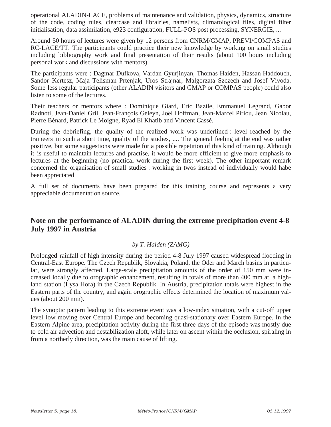operational ALADIN-LACE, problems of maintenance and validation, physics, dynamics, structure of the code, coding rules, clearcase and librairies, namelists, climatological files, digital filter initialisation, data assimilation, e923 configuration, FULL-POS post processing, SYNERGIE, ...

Around 50 hours of lectures were given by 12 persons from CNRM/GMAP, PREVI/COMPAS and RC-LACE/TT. The participants could practice their new knowledge by working on small studies including bibliography work and final presentation of their results (about 100 hours including personal work and discussions with mentors).

The participants were : Dagmar Dufkova, Vardan Gyurjinyan, Thomas Haiden, Hassan Haddouch, Sandor Kertesz, Maja Telisman Prtenjak, Uros Strajnar, Malgorzata Szczech and Josef Vivoda. Some less regular participants (other ALADIN visitors and GMAP or COMPAS people) could also listen to some of the lectures.

Their teachers or mentors where : Dominique Giard, Eric Bazile, Emmanuel Legrand, Gabor Radnoti, Jean-Daniel Gril, Jean-François Geleyn, Joël Hoffman, Jean-Marcel Piriou, Jean Nicolau, Pierre Bénard, Patrick Le Moigne, Ryad El Khatib and Vincent Cassé.

During the debriefing, the quality of the realized work was underlined : level reached by the traineers in such a short time, quality of the studies, .... The general feeling at the end was rather positive, but some suggestions were made for a possible repetition of this kind of training. Although it is useful to maintain lectures and practise, it would be more efficient to give more emphasis to lectures at the beginning (no practical work during the first week). The other important remark concerned the organisation of small studies : working in twos instead of individually would habe been appreciated

A full set of documents have been prepared for this training course and represents a very appreciable documentation source.

#### **Note on the performance of ALADIN during the extreme precipitation event 4-8 July 1997 in Austria**

#### *by T. Haiden (ZAMG)*

Prolonged rainfall of high intensity during the period 4-8 July 1997 caused widespread flooding in Central-East Europe. The Czech Republik, Slovakia, Poland, the Oder and March basins in particular, were strongly affected. Large-scale precipitation amounts of the order of 150 mm were increased locally due to orographic enhancement, resulting in totals of more than 400 mm at a highland station (Lysa Hora) in the Czech Republik. In Austria, precipitation totals were highest in the Eastern parts of the country, and again orographic effects determined the location of maximum values (about 200 mm).

The synoptic pattern leading to this extreme event was a low-index situation, with a cut-off upper level low moving over Central Europe and becoming quasi-stationary over Eastern Europe. In the Eastern Alpine area, precipitation activity during the first three days of the episode was mostly due to cold air advection and destabilization aloft, while later on ascent within the occlusion, spiraling in from a northerly direction, was the main cause of lifting.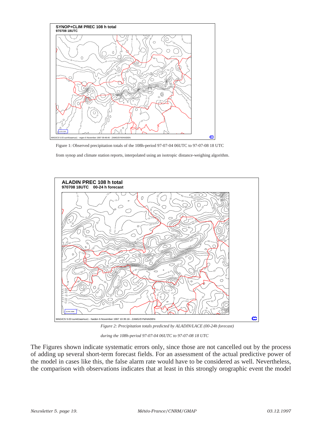

Figure 1: Observed precipitation totals of the 108h-period 97-07-04 06UTC to 97-07-08 18 UTC

from synop and climate station reports, interpolated using an isotropic distance-weighing algorithm.



*Figure 2: Precipitation totals predicted by ALADIN/LACE (00-24h forecast)* 

*during the 108h-period 97-07-04 06UTC to 97-07-08 18 UTC*

The Figures shown indicate systematic errors only, since those are not cancelled out by the process of adding up several short-term forecast fields. For an assessment of the actual predictive power of the model in cases like this, the false alarm rate would have to be considered as well. Nevertheless, the comparison with observations indicates that at least in this strongly orographic event the model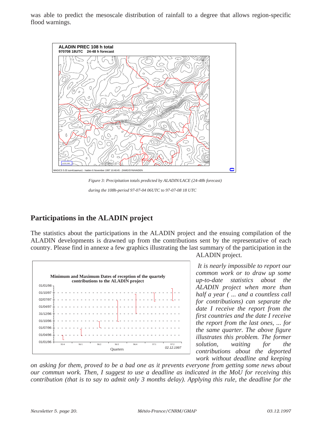was able to predict the mesoscale distribution of rainfall to a degree that allows region-specific flood warnings.



*Figure 3: Precipitation totals predicted by ALADIN/LACE (24-48h forecast) during the 108h-period 97-07-04 06UTC to 97-07-08 18 UTC*

## **Participations in the ALADIN project**

The statistics about the participations in the ALADIN project and the ensuing compilation of the ALADIN developments is drawned up from the contributions sent by the representative of each country. Please find in annexe a few graphics illustrating the last summary of the participation in the



ALADIN project.

*It is nearly impossible to report our common work or to draw up some up-to-date statistics about the ALADIN project when more than half a year ( ... and a countless call for contributions) can separate the date I receive the report from the first countries and the date I receive the report from the last ones, ... for the same quarter. The above figure illustrates this problem. The former solution, waiting for the contributions about the deported work without deadline and keeping* 

*on asking for them, proved to be a bad one as it prevents everyone from getting some news about our commun work. Then, I suggest to use a deadline as indicated in the MoU for receiving this contribution (that is to say to admit only 3 months delay). Applying this rule, the deadline for the*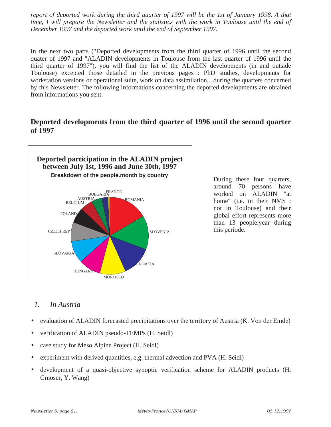*report of deported work during the third quarter of 1997 will be the 1st of January 1998. A that time, I will prepare the Newsletter and the statistics with the work in Toulouse until the end of December 1997 and the deported work until the end of September 1997.*

In the next two parts ("Deported developments from the third quarter of 1996 until the second quater of 1997 and "ALADIN developments in Toulouse from the last quarter of 1996 until the third quarter of 1997"), you will find the list of the ALADIN developments (in and outside Toulouse) excepted those detailed in the previous pages : PhD studies, developments for workstation versions or operational suite, work on data assimilation,...during the quarters concerned by this Newsletter. The following informations concerning the deported developments are obtained from informations you sent.

#### **Deported developments from the third quarter of 1996 until the second quarter of 1997**



During these four quarters, around 70 persons have worked on ALADIN "at home" (i.e. in their NMS : not in Toulouse) and their global effort represents more than 13 people.year during this periode.

#### *1. In Austria*

- evaluation of ALADIN forecasted precipitations over the territory of Austria (K. Von der Emde)
- verification of ALADIN pseudo-TEMPs (H. Seidl)
- case study for Meso Alpine Project (H. Seidl)
- experiment with derived quantities, e.g. thermal advection and PVA (H. Seidl)
- development of a quasi-objective synoptic verification scheme for ALADIN products (H. Gmoser, Y. Wang)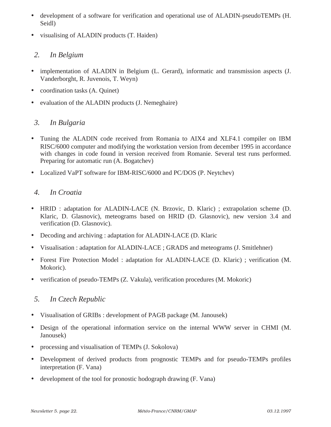- development of a software for verification and operational use of ALADIN-pseudoTEMPs (H. Seidl)
- visualising of ALADIN products (T. Haiden)

#### *2. In Belgium*

- implementation of ALADIN in Belgium (L. Gerard), informatic and transmission aspects (J. Vanderborght, R. Juvenois, T. Weyn)
- coordination tasks (A. Quinet)
- evaluation of the ALADIN products (J. Nemeghaire)

#### *3. In Bulgaria*

- Tuning the ALADIN code received from Romania to AIX4 and XLF4.1 compiler on IBM RISC/6000 computer and modifying the workstation version from december 1995 in accordance with changes in code found in version received from Romanie. Several test runs performed. Preparing for automatic run (A. Bogatchev)
- Localized VaPT software for IBM-RISC/6000 and PC/DOS (P. Neytchev)

#### *4. In Croatia*

- HRID : adaptation for ALADIN-LACE (N. Brzovic, D. Klaric) ; extrapolation scheme (D. Klaric, D. Glasnovic), meteograms based on HRID (D. Glasnovic), new version 3.4 and verification (D. Glasnovic).
- Decoding and archiving : adaptation for ALADIN-LACE (D. Klaric
- Visualisation : adaptation for ALADIN-LACE ; GRADS and meteograms (J. Smitlehner)
- Forest Fire Protection Model : adaptation for ALADIN-LACE (D. Klaric) ; verification (M. Mokoric).
- verification of pseudo-TEMPs (Z. Vakula), verification procedures (M. Mokoric)

#### *5. In Czech Republic*

- Visualisation of GRIBs : development of PAGB package (M. Janousek)
- Design of the operational information service on the internal WWW server in CHMI (M. Janousek)
- processing and visualisation of TEMPs (J. Sokolova)
- Development of derived products from prognostic TEMPs and for pseudo-TEMPs profiles interpretation (F. Vana)
- development of the tool for pronostic hodograph drawing (F. Vana)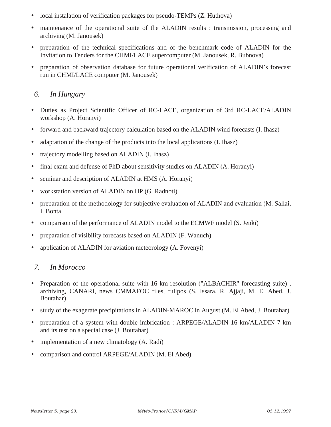- local instalation of verification packages for pseudo-TEMPs (Z. Huthova)
- maintenance of the operational suite of the ALADIN results : transmission, processing and archiving (M. Janousek)
- preparation of the technical specifications and of the benchmark code of ALADIN for the Invitation to Tenders for the CHMI/LACE supercomputer (M. Janousek, R. Bubnova)
- preparation of observation database for future operational verification of ALADIN's forecast run in CHMI/LACE computer (M. Janousek)

### *6. In Hungary*

- Duties as Project Scientific Officer of RC-LACE, organization of 3rd RC-LACE/ALADIN workshop (A. Horanyi)
- forward and backward trajectory calculation based on the ALADIN wind forecasts (I. Ihasz)
- adaptation of the change of the products into the local applications (I. Ihasz)
- trajectory modelling based on ALADIN (I. Ihasz)
- final exam and defense of PhD about sensitivity studies on ALADIN (A. Horanyi)
- seminar and description of ALADIN at HMS (A. Horanyi)
- workstation version of ALADIN on HP (G. Radnoti)
- preparation of the methodology for subjective evaluation of ALADIN and evaluation (M. Sallai, I. Bonta
- comparison of the performance of ALADIN model to the ECMWF model (S. Jenki)
- preparation of visibility forecasts based on ALADIN (F. Wanuch)
- application of ALADIN for aviation meteorology (A. Fovenyi)

### *7. In Morocco*

- Preparation of the operational suite with 16 km resolution ("ALBACHIR" forecasting suite) , archiving, CANARI, news CMMAFOC files, fullpos (S. Issara, R. Ajjaji, M. El Abed, J. Boutahar)
- study of the exagerate precipitations in ALADIN-MAROC in August (M. El Abed, J. Boutahar)
- preparation of a system with double imbrication : ARPEGE/ALADIN 16 km/ALADIN 7 km and its test on a special case (J. Boutahar)
- implementation of a new climatology (A. Radi)
- comparison and control ARPEGE/ALADIN (M. El Abed)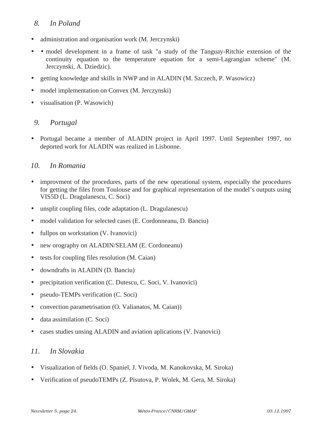#### *8. In Poland*

- administration and organisation work (M. Jerczynski)
- • model development in a frame of task "a study of the Tanguay-Ritchie extension of the continuity equation to the temperature equation for a semi-Lagrangian scheme" (M. Jerczynski, A. Dziedzic).
- getting knowledge and skills in NWP and in ALADIN (M. Szczech, P. Wasowicz)
- model implementation on Convex (M. Jerczynski)
- visualisation (P. Wasowich)

#### *9. Portugal*

• Portugal became a member of ALADIN project in April 1997. Until September 1997, no deported work for ALADIN was realized in Lisbonne.

#### *10. In Romania*

- improvment of the procedures, parts of the new operational system, especially the procedures for getting the files from Toulouse and for graphical representation of the model's outputs using VIS5D (L. Dragulanescu, C. Soci)
- unsplit coupling files, code adaptation (L. Dragulanescu)
- model validation for selected cases (E. Cordonneanu, D. Banciu)
- fullpos on workstation (V. Ivanovici)
- new orography on ALADIN/SELAM (E. Cordoneanu)
- tests for coupling files resolution (M. Caian)
- downdrafts in ALADIN (D. Banciu)
- precipitation verification (C. Dutescu, C. Soci, V. Ivanovici)
- pseudo-TEMPs verification (C. Soci)
- convection parametrisation (O. Valianatos, M. Caian))
- data assimilation (C. Soci)
- cases studies unsing ALADIN and aviation aplications (V. Ivanovici)

#### *11. In Slovakia*

- Visualization of fields (O. Spaniel, J. Vivoda, M. Kanokovska, M. Siroka)
- Verification of pseudoTEMPs (Z. Pisutova, P. Wolek, M. Gera, M. Siroka)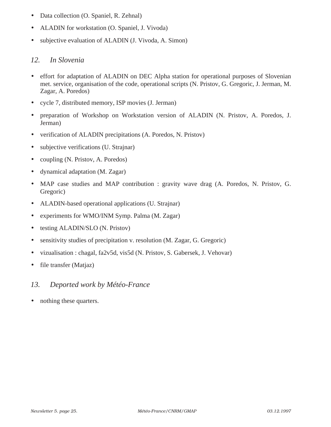- Data collection (O. Spaniel, R. Zehnal)
- ALADIN for workstation (O. Spaniel, J. Vivoda)
- subjective evaluation of ALADIN (J. Vivoda, A. Simon)

### *12. In Slovenia*

- effort for adaptation of ALADIN on DEC Alpha station for operational purposes of Slovenian met. service, organisation of the code, operational scripts (N. Pristov, G. Gregoric, J. Jerman, M. Zagar, A. Poredos)
- cycle 7, distributed memory, ISP movies (J. Jerman)
- preparation of Workshop on Workstation version of ALADIN (N. Pristov, A. Poredos, J. Jerman)
- verification of ALADIN precipitations (A. Poredos, N. Pristov)
- subjective verifications (U. Strajnar)
- coupling (N. Pristov, A. Poredos)
- dynamical adaptation (M. Zagar)
- MAP case studies and MAP contribution : gravity wave drag (A. Poredos, N. Pristov, G. Gregoric)
- ALADIN-based operational applications (U. Strajnar)
- experiments for WMO/INM Symp. Palma (M. Zagar)
- testing ALADIN/SLO (N. Pristov)
- sensitivity studies of precipitation v. resolution (M. Zagar, G. Gregoric)
- vizualisation : chagal, fa2v5d, vis5d (N. Pristov, S. Gabersek, J. Vehovar)
- file transfer (Matjaz)

### *13. Deported work by Météo-France*

• nothing these quarters.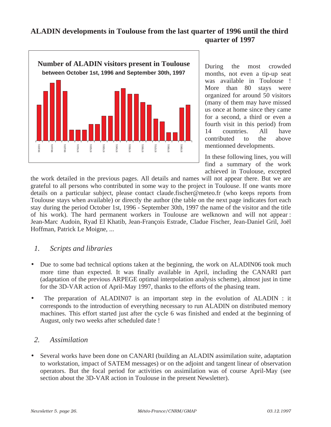### **ALADIN developments in Toulouse from the last quarter of 1996 until the third quarter of 1997**



During the most crowded months, not even a tip-up seat was available in Toulouse ! More than 80 stays were organized for around 50 visitors (many of them may have missed us once at home since they came for a second, a third or even a fourth visit in this period) from 14 countries. All have contributed to the above mentionned developments.

In these following lines, you will find a summary of the work achieved in Toulouse, excepted

the work detailed in the previous pages. All details and names will not appear there. But we are grateful to all persons who contributed in some way to the project in Toulouse. If one wants more details on a particular subject, please contact claude.fischer@meteo.fr (who keeps reports from Toulouse stays when available) or directly the author (the table on the next page indicates fort each stay during the period October 1st, 1996 - September 30th, 1997 the name of the visitor and the title of his work). The hard permanent workers in Toulouse are welknown and will not appear : Jean-Marc Audoin, Ryad El Khatib, Jean-François Estrade, Cladue Fischer, Jean-Daniel Gril, Joël Hoffman, Patrick Le Moigne, ...

#### *1. Scripts and libraries*

- Due to some bad technical options taken at the beginning, the work on ALADIN06 took much more time than expected. It was finally available in April, including the CANARI part (adaptation of the previous ARPEGE optimal interpolation analysis scheme), almost just in time for the 3D-VAR action of April-May 1997, thanks to the efforts of the phasing team.
- The preparation of ALADIN07 is an important step in the evolution of ALADIN : it corresponds to the introduction of everything necessary to run ALADIN on distributed memory machines. This effort started just after the cycle 6 was finished and ended at the beginning of August, only two weeks after scheduled date !

#### *2. Assimilation*

• Several works have been done on CANARI (building an ALADIN assimilation suite, adaptation to workstation, impact of SATEM messages) or on the adjoint and tangent linear of observation operators. But the focal period for activities on assimilation was of course April-May (see section about the 3D-VAR action in Toulouse in the present Newsletter).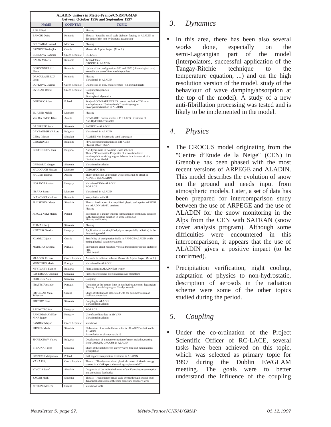| <b>ALADIN visitors in Météo-France/CNRM/GMAP</b><br>between October 1996 and September 1997 |                           |                                                                                                                                                                                     |  |  |
|---------------------------------------------------------------------------------------------|---------------------------|-------------------------------------------------------------------------------------------------------------------------------------------------------------------------------------|--|--|
| <b>NAME</b>                                                                                 | <b>COUNTRY</b>            | <b>TOPIC</b>                                                                                                                                                                        |  |  |
| <b>AJJAJI Radi</b>                                                                          |                           | Phasing                                                                                                                                                                             |  |  |
| <b>BANCIU Doina</b>                                                                         | Romania                   | Thesis: "Specific small scale diabatic forcing in ALADIN at<br>the limit of the non-hydrostatic assumption"                                                                         |  |  |
| <b>BOUTAHAR Jaouad</b>                                                                      | Morroco                   | Phasing                                                                                                                                                                             |  |  |
| <b>BRZOVIC</b> Nedjeljka<br><b>BUBNOVA</b> Radmila                                          | Croatia                   | Mesoscale Alpine Project (M.A.P.)<br>RC-LACE                                                                                                                                        |  |  |
| CAIAN Mihaela                                                                               | Czech Republic<br>Romania | thesis defense                                                                                                                                                                      |  |  |
| CORDONNEANU                                                                                 | Romania                   | CROCUS in ALADIN<br>Update of the configurations 923 and E923 (climatological data)                                                                                                 |  |  |
| Elena<br><b>DRAGULANESCU</b>                                                                |                           | to enable the use of finer mesh input data                                                                                                                                          |  |  |
| Liviu                                                                                       | Romania                   | Phasing<br>Variational in ALADIN                                                                                                                                                    |  |  |
| <b>DUFKOVA</b> Dagmar<br><b>DVORAK</b> David                                                | Czech Republic            | Diagnostics of PBL characteristics (e.g. mixing height)                                                                                                                             |  |  |
|                                                                                             | Czech Republic            | Coupling frequencies<br>Phasing<br>Stratospheric dynamics                                                                                                                           |  |  |
| DZIEDZIC Adam                                                                               | Poland                    | Study of COMPARE/PYREX case at resolution 2.5 km in<br>non-hydrostatic "3-time-levels" semi-lagrangian<br>Snow parametrisation in ALADIN                                            |  |  |
| EL ABED Mehdi                                                                               | Morroco                   | Phasing                                                                                                                                                                             |  |  |
| Von Der EMDE Klaus                                                                          | Austria                   | COMPARE : further studies + FULLPOS : treatment of<br>Non-Hydrostatic variables                                                                                                     |  |  |
| <b>GABERSEK Sasa</b>                                                                        | Slovenia                  | <b>FASTEX in ALADIN</b>                                                                                                                                                             |  |  |
| <b>GAYTANDJIEVA Lora</b>                                                                    | Bulgaria                  | Variational in ALADIN                                                                                                                                                               |  |  |
| <b>GERA</b> Martin<br><b>GERARD Luc</b>                                                     | Slovakia<br>Belgium       | ALADIN Non-hydrostatic semi lagrangian<br>Physical parameterizations in NH Aladin                                                                                                   |  |  |
|                                                                                             |                           | Phasing E923 + ISBA                                                                                                                                                                 |  |  |
| <b>GOSPODINOV Ilian</b>                                                                     | Bulgaria                  | Non-hydrostatic in two time levels schemes<br>Thesis "Conservation Properties of a two-time-level<br>semi-implicit semi-Lagrangian Scheme in a framework of a<br>Limited Area Model |  |  |
| <b>GREGORIC Gregor</b>                                                                      | Slovenia                  | Variational in Aladin                                                                                                                                                               |  |  |
| <b>HADDOUCH Hassan</b>                                                                      | Morroco                   | <b>CMMAFOC</b> files                                                                                                                                                                |  |  |
| <b>HAIDEN</b> Thomas                                                                        | Austria                   | Study of the spin-up problem with comparing its effect in<br>ARPEGE and ALADIN                                                                                                      |  |  |
| <b>HORANYI Andras</b>                                                                       | Hungary                   | Variational 3D in ALADIN<br>RC-LACE                                                                                                                                                 |  |  |
| <b>ISSARA</b> Samir                                                                         | Morroco                   | Variational in ALADIN                                                                                                                                                               |  |  |
| <b>IVANOVICI Vladimir</b>                                                                   | Romania                   | interpolation with SL                                                                                                                                                               |  |  |
| <b>JANISKOVA</b> Marta                                                                      | Slovakia                  | Thesis: Realization of a simplified physic package for ARPEGE<br>and ALADIN AD/TL versions<br>Phasing                                                                               |  |  |
| <b>JERCZYNSKI</b> Marek                                                                     | Poland                    | Extension of Tanguay-Ritchie formulation of continuity equation<br>to the temperature equation in semi-lagrangian<br>Phasing and Porting                                            |  |  |
| <b>JERMAN Jurij</b>                                                                         | Slovenia                  | Phasing                                                                                                                                                                             |  |  |
| <b>KERTESZ Sandor</b>                                                                       | Hungary                   | Application of the simplified physics (especially radiation) in the<br>forecasting model                                                                                            |  |  |
| <b>KLARIC</b> Dijana                                                                        | Croatia                   | Sensibility of precipitation fields in ARPEGE/ALADIN while<br>tuning physical parameterizations                                                                                     |  |  |
| <b>MADEIRA</b> Cristina                                                                     | Portugal                  | Interactions cloud-radiation-vertical transport for clouds on top of<br>PBI.<br>ISBA in 927                                                                                         |  |  |
| <b>MLADEK</b> Richard                                                                       | Czech Republic            | Aerosols in radiation scheme Mesoscale Alpine Project (M.A.P.)                                                                                                                      |  |  |
| <b>MONTEIRO</b> Maria                                                                       | Portugal                  | Variational in ALADIN                                                                                                                                                               |  |  |
| <b>NEYTCHEV Plamen</b>                                                                      | Bulgaria                  | Fibrillations in ALADIN last winter                                                                                                                                                 |  |  |
| <b>PASTIRCAK Vladimir</b><br><b>POREDOS Ales</b>                                            | Slovakia<br>Slovenia      | Problem of spurious precipitations over mountains<br>Coupling                                                                                                                       |  |  |
| <b>PRATES Fernando</b>                                                                      | Portugal                  | Condition at the bottom limit in non-hydrostatic semi-lagrangian<br>Phasing of semi-Lagrangian Non-hydrostatic                                                                      |  |  |
| PRTENJAK Maja<br>Telisman                                                                   | Croatia                   | Study of fibrillations associated with the parametrisation of<br>shallow-convection                                                                                                 |  |  |
| PRISTOV Neva                                                                                | Slovenia                  | Coupling in ALADIN<br>Variational in Aladin                                                                                                                                         |  |  |
| <b>RADNOTI</b> Gabor                                                                        | Hungary                   | <b>RC-LACE</b>                                                                                                                                                                      |  |  |
| RANDRIAMAMPIA-<br>NINA Roger                                                                | Hungary                   | Use of satellites data in 3D VAR<br>Variational in Aladin                                                                                                                           |  |  |
| SANDEV Marjan                                                                               | Czech Republic            | Validation                                                                                                                                                                          |  |  |
| SIROKA Maria                                                                                | Slovakia                  | Elaboration of an assimilation suite for ALADIN Variational in<br><b>ALADIN</b><br>Assimilation et phasage cycle 18                                                                 |  |  |
| SPIRIDONOV Valery                                                                           | Bulgaria                  | Development of a parameterisation of snow in aladin, starting<br>from CROCUS, CROCUS in ALADIN                                                                                      |  |  |
| <b>STRAJNAR Uros</b>                                                                        | Slovenia                  | Study of the link between gravity wave drag and mountainous<br>precipitation                                                                                                        |  |  |
| <b>SZCZECH Malgorzata</b>                                                                   | Poland                    | Soil negative temperature treatment in ALADIN                                                                                                                                       |  |  |
| <b>VANA Filip</b>                                                                           | Czech Republic            | Thesis: "The dynamical and physical control of kinetic energy<br>spectra in a NWP spectral semi-Lagrangian model"                                                                   |  |  |
| VIVODA Josef                                                                                | Slovakia                  | Diagnostic of the individual terms of the Kuo-closure assumption<br>and associated feedbacks                                                                                        |  |  |
| <b>ZAGAR</b> Mark                                                                           | Slovenia                  | Thesis: "Prediction of small scale events through second-level<br>dynamical adaptation of the state planetary boundary layer                                                        |  |  |
| <b>ZITOUNI</b> Meriem                                                                       | Croatia                   | Validation tools                                                                                                                                                                    |  |  |

## *3. Dynamics*

• In this area, there has been also several works done, especially on the semi-Lagrangian part of the model (interpolators, successful application of the Tangay-Ritchie technique to the temperature equation, ...) and on the high resolution version of the model, study of the behaviour of wave damping/absorption at the top of the model). A study of a new anti-fibrillation processing was tested and is likely to be implemented in the model.

## *4. Physics*

- The CROCUS model originating from the "Centre d'Etude de la Neige" (CEN) in Grenoble has been phased with the most recent versions of ARPEGE and ALADIN. This model describes the evolution of snow on the ground and needs input from atmospheric models. Later, a set of data has been prepared for intercomparison study between the use of ARPEGE and the use of ALADIN for the snow monitoring in the Alps from the CEN with SAFRAN (snow cover analysis program). Although some difficulties were encountered in this intercomparison, it appears that the use of ALADIN gives a positive impact (to be confirmed).
- Precipitation verification, night cooling, adaptation of physics to non-hydrostatic, description of aerosols in the radiation scheme were some of the other topics studied during the period.

# *5. Coupling*

• Under the co-ordination of the Project Scientific Officer of RC-LACE, several tasks have been achieved on this topic, which was selected as primary topic for 1997 during the Dublin EWGLAM meeting. The goals were to better understand the influence of the coupling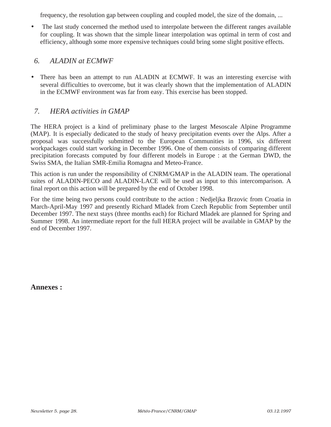frequency, the resolution gap between coupling and coupled model, the size of the domain, ...

• The last study concerned the method used to interpolate between the different ranges available for coupling. It was shown that the simple linear interpolation was optimal in term of cost and efficiency, although some more expensive techniques could bring some slight positive effects.

#### *6. ALADIN at ECMWF*

• There has been an attempt to run ALADIN at ECMWF. It was an interesting exercise with several difficulties to overcome, but it was clearly shown that the implementation of ALADIN in the ECMWF environment was far from easy. This exercise has been stopped.

### *7. HERA activities in GMAP*

The HERA project is a kind of preliminary phase to the largest Mesoscale Alpine Programme (MAP). It is especially dedicated to the study of heavy precipitation events over the Alps. After a proposal was successfully submitted to the European Communities in 1996, six different workpackages could start working in December 1996. One of them consists of comparing different precipitation forecasts computed by four different models in Europe : at the German DWD, the Swiss SMA, the Italian SMR-Emilia Romagna and Meteo-France.

This action is run under the responsibility of CNRM/GMAP in the ALADIN team. The operational suites of ALADIN-PECO and ALADIN-LACE will be used as input to this intercomparison. A final report on this action will be prepared by the end of October 1998.

For the time being two persons could contribute to the action : Nedjeljka Brzovic from Croatia in March-April-May 1997 and presently Richard Mladek from Czech Republic from September until December 1997. The next stays (three months each) for Richard Mladek are planned for Spring and Summer 1998. An intermediate report for the full HERA project will be available in GMAP by the end of December 1997.

**Annexes :**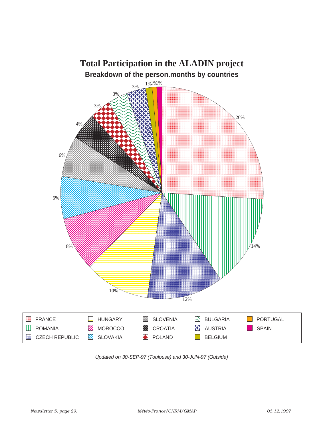

Updated on 30-SEP-97 (Toulouse) and 30-JUN-97 (Outside)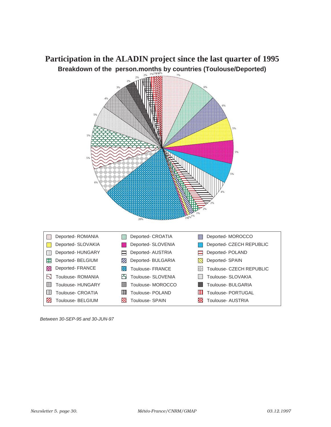

Between 30-SEP-95 and 30-JUN-97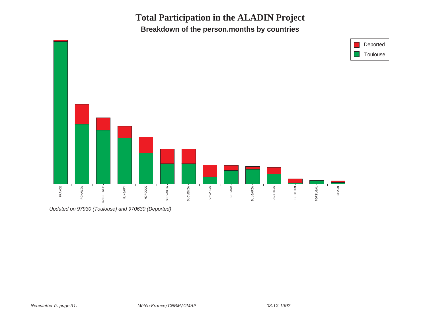**Total Participation in the ALADIN ProjectBreakdown of the person.months by countries**



Updated on 97930 (Toulouse) and 970630 (Deported)